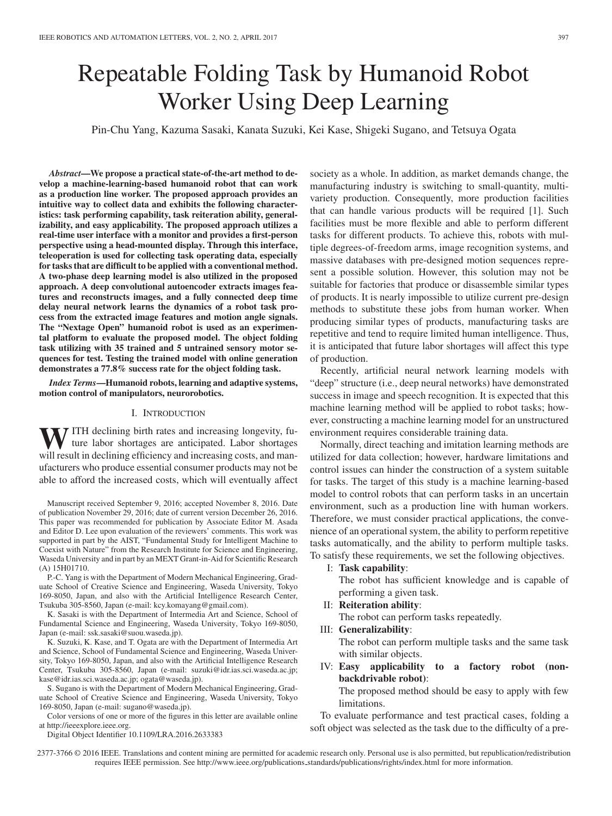# Repeatable Folding Task by Humanoid Robot Worker Using Deep Learning

Pin-Chu Yang, Kazuma Sasaki, Kanata Suzuki, Kei Kase, Shigeki Sugano, and Tetsuya Ogata

*Abstract***—We propose a practical state-of-the-art method to develop a machine-learning-based humanoid robot that can work as a production line worker. The proposed approach provides an intuitive way to collect data and exhibits the following characteristics: task performing capability, task reiteration ability, generalizability, and easy applicability. The proposed approach utilizes a real-time user interface with a monitor and provides a first-person perspective using a head-mounted display. Through this interface, teleoperation is used for collecting task operating data, especially for tasks that are difficult to be applied with a conventional method. A two-phase deep learning model is also utilized in the proposed approach. A deep convolutional autoencoder extracts images features and reconstructs images, and a fully connected deep time delay neural network learns the dynamics of a robot task process from the extracted image features and motion angle signals. The "Nextage Open" humanoid robot is used as an experimental platform to evaluate the proposed model. The object folding task utilizing with 35 trained and 5 untrained sensory motor sequences for test. Testing the trained model with online generation demonstrates a 77.8% success rate for the object folding task.**

*Index Terms***—Humanoid robots, learning and adaptive systems, motion control of manipulators, neurorobotics.**

### I. INTRODUCTION

**TITH** declining birth rates and increasing longevity, future labor shortages are anticipated. Labor shortages will result in declining efficiency and increasing costs, and manufacturers who produce essential consumer products may not be able to afford the increased costs, which will eventually affect

Manuscript received September 9, 2016; accepted November 8, 2016. Date of publication November 29, 2016; date of current version December 26, 2016. This paper was recommended for publication by Associate Editor M. Asada and Editor D. Lee upon evaluation of the reviewers' comments. This work was supported in part by the AIST, "Fundamental Study for Intelligent Machine to Coexist with Nature" from the Research Institute for Science and Engineering, Waseda University and in part by an MEXT Grant-in-Aid for Scientific Research (A) 15H01710.

P.-C. Yang is with the Department of Modern Mechanical Engineering, Graduate School of Creative Science and Engineering, Waseda University, Tokyo 169-8050, Japan, and also with the Artificial Intelligence Research Center, Tsukuba 305-8560, Japan (e-mail: kcy.komayang@gmail.com).

K. Sasaki is with the Department of Intermedia Art and Science, School of Fundamental Science and Engineering, Waseda University, Tokyo 169-8050, Japan (e-mail: ssk.sasaki@suou.waseda.jp).

K. Suzuki, K. Kase, and T. Ogata are with the Department of Intermedia Art and Science, School of Fundamental Science and Engineering, Waseda University, Tokyo 169-8050, Japan, and also with the Artificial Intelligence Research Center, Tsukuba 305-8560, Japan (e-mail: suzuki@idr.ias.sci.waseda.ac.jp; kase@idr.ias.sci.waseda.ac.jp; ogata@waseda.jp).

S. Sugano is with the Department of Modern Mechanical Engineering, Graduate School of Creative Science and Engineering, Waseda University, Tokyo 169-8050, Japan (e-mail: sugano@waseda.jp).

Color versions of one or more of the figures in this letter are available online at http://ieeexplore.ieee.org.

Digital Object Identifier 10.1109/LRA.2016.2633383

society as a whole. In addition, as market demands change, the manufacturing industry is switching to small-quantity, multivariety production. Consequently, more production facilities that can handle various products will be required [1]. Such facilities must be more flexible and able to perform different tasks for different products. To achieve this, robots with multiple degrees-of-freedom arms, image recognition systems, and massive databases with pre-designed motion sequences represent a possible solution. However, this solution may not be suitable for factories that produce or disassemble similar types of products. It is nearly impossible to utilize current pre-design methods to substitute these jobs from human worker. When producing similar types of products, manufacturing tasks are repetitive and tend to require limited human intelligence. Thus, it is anticipated that future labor shortages will affect this type of production.

Recently, artificial neural network learning models with "deep" structure (i.e., deep neural networks) have demonstrated success in image and speech recognition. It is expected that this machine learning method will be applied to robot tasks; however, constructing a machine learning model for an unstructured environment requires considerable training data.

Normally, direct teaching and imitation learning methods are utilized for data collection; however, hardware limitations and control issues can hinder the construction of a system suitable for tasks. The target of this study is a machine learning-based model to control robots that can perform tasks in an uncertain environment, such as a production line with human workers. Therefore, we must consider practical applications, the convenience of an operational system, the ability to perform repetitive tasks automatically, and the ability to perform multiple tasks. To satisfy these requirements, we set the following objectives.

#### I: **Task capability**:

The robot has sufficient knowledge and is capable of performing a given task.

## II: **Reiteration ability**:

The robot can perform tasks repeatedly.

III: **Generalizability**:

The robot can perform multiple tasks and the same task with similar objects.

IV: **Easy applicability to a factory robot (nonbackdrivable robot)**:

The proposed method should be easy to apply with few limitations.

To evaluate performance and test practical cases, folding a soft object was selected as the task due to the difficulty of a pre-

2377-3766 © 2016 IEEE. Translations and content mining are permitted for academic research only. Personal use is also permitted, but republication/redistribution requires IEEE permission. See http://www.ieee.org/publications standards/publications/rights/index.html for more information.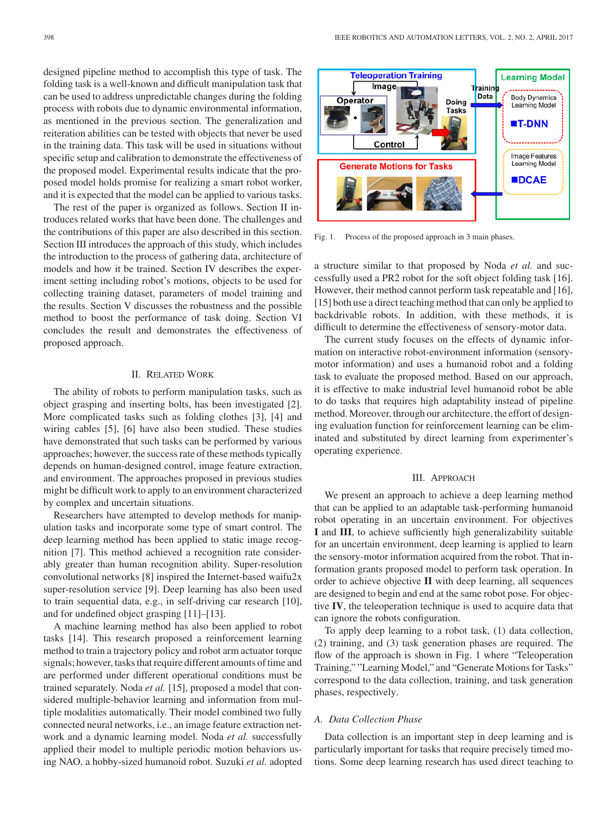designed pipeline method to accomplish this type of task. The folding task is a well-known and difficult manipulation task that can be used to address unpredictable changes during the folding process with robots due to dynamic environmental information, as mentioned in the previous section. The generalization and reiteration abilities can be tested with objects that never be used in the training data. This task will be used in situations without specific setup and calibration to demonstrate the effectiveness of the proposed model. Experimental results indicate that the proposed model holds promise for realizing a smart robot worker, and it is expected that the model can be applied to various tasks.

The rest of the paper is organized as follows. Section II introduces related works that have been done. The challenges and the contributions of this paper are also described in this section. Section III introduces the approach of this study, which includes the introduction to the process of gathering data, architecture of models and how it be trained. Section IV describes the experiment setting including robot's motions, objects to be used for collecting training dataset, parameters of model training and the results. Section V discusses the robustness and the possible method to boost the performance of task doing. Section VI concludes the result and demonstrates the effectiveness of proposed approach.

#### II. RELATED WORK

The ability of robots to perform manipulation tasks, such as object grasping and inserting bolts, has been investigated [2]. More complicated tasks such as folding clothes [3], [4] and wiring cables [5], [6] have also been studied. These studies have demonstrated that such tasks can be performed by various approaches; however, the success rate of these methods typically depends on human-designed control, image feature extraction, and environment. The approaches proposed in previous studies might be difficult work to apply to an environment characterized by complex and uncertain situations.

Researchers have attempted to develop methods for manipulation tasks and incorporate some type of smart control. The deep learning method has been applied to static image recognition [7]. This method achieved a recognition rate considerably greater than human recognition ability. Super-resolution convolutional networks [8] inspired the Internet-based waifu2x super-resolution service [9]. Deep learning has also been used to train sequential data, e.g., in self-driving car research [10], and for undefined object grasping [11]–[13].

A machine learning method has also been applied to robot tasks [14]. This research proposed a reinforcement learning method to train a trajectory policy and robot arm actuator torque signals; however, tasks that require different amounts of time and are performed under different operational conditions must be trained separately. Noda *et al.* [15], proposed a model that considered multiple-behavior learning and information from multiple modalities automatically. Their model combined two fully connected neural networks, i.e., an image feature extraction network and a dynamic learning model. Noda *et al.* successfully applied their model to multiple periodic motion behaviors using NAO, a hobby-sized humanoid robot. Suzuki *et al.* adopted



Fig. 1. Process of the proposed approach in 3 main phases.

a structure similar to that proposed by Noda *et al.* and successfully used a PR2 robot for the soft object folding task [16]. However, their method cannot perform task repeatable and [16], [15] both use a direct teaching method that can only be applied to backdrivable robots. In addition, with these methods, it is difficult to determine the effectiveness of sensory-motor data.

The current study focuses on the effects of dynamic information on interactive robot-environment information (sensorymotor information) and uses a humanoid robot and a folding task to evaluate the proposed method. Based on our approach, it is effective to make industrial level humanoid robot be able to do tasks that requires high adaptability instead of pipeline method. Moreover, through our architecture, the effort of designing evaluation function for reinforcement learning can be eliminated and substituted by direct learning from experimenter's operating experience.

#### III. APPROACH

We present an approach to achieve a deep learning method that can be applied to an adaptable task-performing humanoid robot operating in an uncertain environment. For objectives **I** and **III**, to achieve sufficiently high generalizability suitable for an uncertain environment, deep learning is applied to learn the sensory-motor information acquired from the robot. That information grants proposed model to perform task operation. In order to achieve objective **II** with deep learning, all sequences are designed to begin and end at the same robot pose. For objective **IV**, the teleoperation technique is used to acquire data that can ignore the robots configuration.

To apply deep learning to a robot task, (1) data collection, (2) training, and (3) task generation phases are required. The flow of the approach is shown in Fig. 1 where "Teleoperation Training," "Learning Model," and "Generate Motions for Tasks" correspond to the data collection, training, and task generation phases, respectively.

# *A. Data Collection Phase*

Data collection is an important step in deep learning and is particularly important for tasks that require precisely timed motions. Some deep learning research has used direct teaching to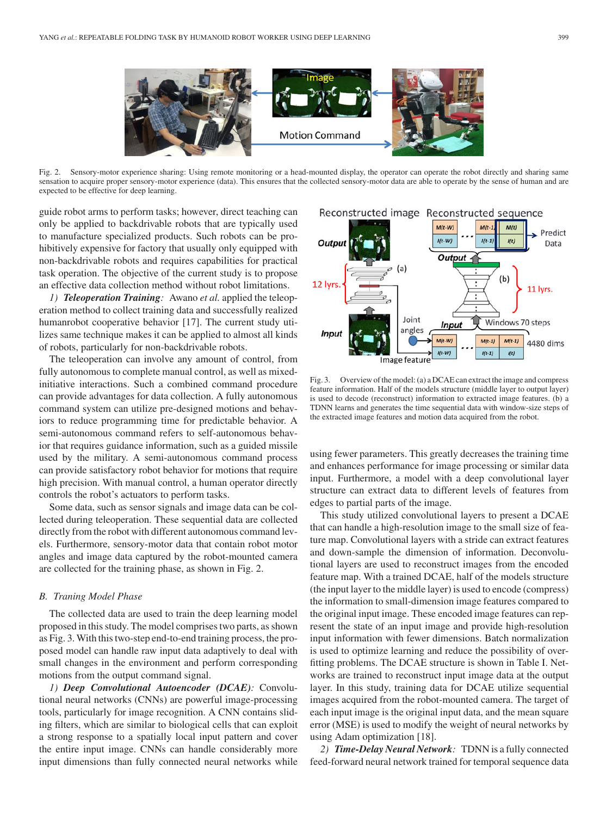

Fig. 2. Sensory-motor experience sharing: Using remote monitoring or a head-mounted display, the operator can operate the robot directly and sharing same sensation to acquire proper sensory-motor experience (data). This ensures that the collected sensory-motor data are able to operate by the sense of human and are expected to be effective for deep learning.

guide robot arms to perform tasks; however, direct teaching can only be applied to backdrivable robots that are typically used to manufacture specialized products. Such robots can be prohibitively expensive for factory that usually only equipped with non-backdrivable robots and requires capabilities for practical task operation. The objective of the current study is to propose an effective data collection method without robot limitations.

*1) Teleoperation Training:* Awano *et al.* applied the teleoperation method to collect training data and successfully realized humanrobot cooperative behavior [17]. The current study utilizes same technique makes it can be applied to almost all kinds of robots, particularly for non-backdrivable robots.

The teleoperation can involve any amount of control, from fully autonomous to complete manual control, as well as mixedinitiative interactions. Such a combined command procedure can provide advantages for data collection. A fully autonomous command system can utilize pre-designed motions and behaviors to reduce programming time for predictable behavior. A semi-autonomous command refers to self-autonomous behavior that requires guidance information, such as a guided missile used by the military. A semi-autonomous command process can provide satisfactory robot behavior for motions that require high precision. With manual control, a human operator directly controls the robot's actuators to perform tasks.

Some data, such as sensor signals and image data can be collected during teleoperation. These sequential data are collected directly from the robot with different autonomous command levels. Furthermore, sensory-motor data that contain robot motor angles and image data captured by the robot-mounted camera are collected for the training phase, as shown in Fig. 2.

## *B. Traning Model Phase*

The collected data are used to train the deep learning model proposed in this study. The model comprises two parts, as shown as Fig. 3. With this two-step end-to-end training process, the proposed model can handle raw input data adaptively to deal with small changes in the environment and perform corresponding motions from the output command signal.

*1) Deep Convolutional Autoencoder (DCAE):* Convolutional neural networks (CNNs) are powerful image-processing tools, particularly for image recognition. A CNN contains sliding filters, which are similar to biological cells that can exploit a strong response to a spatially local input pattern and cover the entire input image. CNNs can handle considerably more input dimensions than fully connected neural networks while



Fig. 3. Overview of the model: (a) a DCAE can extract the image and compress feature information. Half of the models structure (middle layer to output layer) is used to decode (reconstruct) information to extracted image features. (b) a TDNN learns and generates the time sequential data with window-size steps of the extracted image features and motion data acquired from the robot.

using fewer parameters. This greatly decreases the training time and enhances performance for image processing or similar data input. Furthermore, a model with a deep convolutional layer structure can extract data to different levels of features from edges to partial parts of the image.

This study utilized convolutional layers to present a DCAE that can handle a high-resolution image to the small size of feature map. Convolutional layers with a stride can extract features and down-sample the dimension of information. Deconvolutional layers are used to reconstruct images from the encoded feature map. With a trained DCAE, half of the models structure (the input layer to the middle layer) is used to encode (compress) the information to small-dimension image features compared to the original input image. These encoded image features can represent the state of an input image and provide high-resolution input information with fewer dimensions. Batch normalization is used to optimize learning and reduce the possibility of overfitting problems. The DCAE structure is shown in Table I. Networks are trained to reconstruct input image data at the output layer. In this study, training data for DCAE utilize sequential images acquired from the robot-mounted camera. The target of each input image is the original input data, and the mean square error (MSE) is used to modify the weight of neural networks by using Adam optimization [18].

*2) Time-Delay Neural Network:* TDNN is a fully connected feed-forward neural network trained for temporal sequence data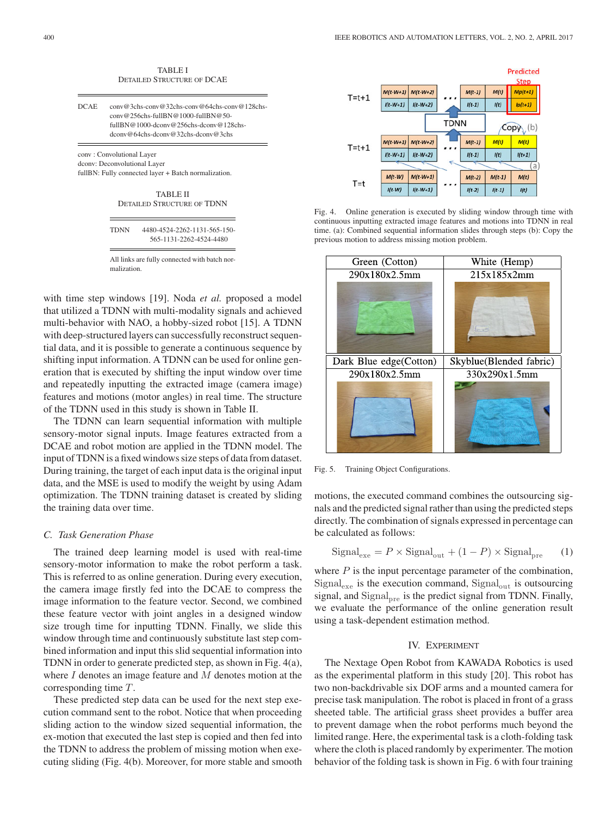| <b>TABLE I</b>                    |
|-----------------------------------|
| <b>DETAILED STRUCTURE OF DCAE</b> |

DCAE conv@3chs-conv@32chs-conv@64chs-conv@128chsconv@256chs-fullBN@1000-fullBN@50 fullBN@1000-dconv@256chs-dconv@128chsdconv@64chs-dconv@32chs-dconv@3chs

conv : Convolutional Layer dconv: Deconvolutional Layer fullBN: Fully connected layer + Batch normalization.

> TABLE II DETAILED STRUCTURE OF TDNN

TDNN 4480-4524-2262-1131-565-150- 565-1131-2262-4524-4480

All links are fully connected with batch normalization.

with time step windows [19]. Noda *et al.* proposed a model that utilized a TDNN with multi-modality signals and achieved multi-behavior with NAO, a hobby-sized robot [15]. A TDNN with deep-structured layers can successfully reconstruct sequential data, and it is possible to generate a continuous sequence by shifting input information. A TDNN can be used for online generation that is executed by shifting the input window over time and repeatedly inputting the extracted image (camera image) features and motions (motor angles) in real time. The structure of the TDNN used in this study is shown in Table II.

The TDNN can learn sequential information with multiple sensory-motor signal inputs. Image features extracted from a DCAE and robot motion are applied in the TDNN model. The input of TDNN is a fixed windows size steps of data from dataset. During training, the target of each input data is the original input data, and the MSE is used to modify the weight by using Adam optimization. The TDNN training dataset is created by sliding the training data over time.

# *C. Task Generation Phase*

The trained deep learning model is used with real-time sensory-motor information to make the robot perform a task. This is referred to as online generation. During every execution, the camera image firstly fed into the DCAE to compress the image information to the feature vector. Second, we combined these feature vector with joint angles in a designed window size trough time for inputting TDNN. Finally, we slide this window through time and continuously substitute last step combined information and input this slid sequential information into TDNN in order to generate predicted step, as shown in Fig. 4(a), where  $I$  denotes an image feature and  $M$  denotes motion at the corresponding time T.

These predicted step data can be used for the next step execution command sent to the robot. Notice that when proceeding sliding action to the window sized sequential information, the ex-motion that executed the last step is copied and then fed into the TDNN to address the problem of missing motion when executing sliding (Fig. 4(b). Moreover, for more stable and smooth



Fig. 4. Online generation is executed by sliding window through time with continuous inputting extracted image features and motions into TDNN in real time. (a): Combined sequential information slides through steps (b): Copy the previous motion to address missing motion problem.



Fig. 5. Training Object Configurations.

motions, the executed command combines the outsourcing signals and the predicted signal rather than using the predicted steps directly. The combination of signals expressed in percentage can be calculated as follows:

$$
Signal_{exe} = P \times Signal_{out} + (1 - P) \times Signal_{pre}
$$
 (1)

where  $P$  is the input percentage parameter of the combination,  $Signal_{exe}$  is the execution command,  $Signal_{out}$  is outsourcing signal, and  $Signal<sub>pre</sub>$  is the predict signal from TDNN. Finally, we evaluate the performance of the online generation result using a task-dependent estimation method.

# IV. EXPERIMENT

The Nextage Open Robot from KAWADA Robotics is used as the experimental platform in this study [20]. This robot has two non-backdrivable six DOF arms and a mounted camera for precise task manipulation. The robot is placed in front of a grass sheeted table. The artificial grass sheet provides a buffer area to prevent damage when the robot performs much beyond the limited range. Here, the experimental task is a cloth-folding task where the cloth is placed randomly by experimenter. The motion behavior of the folding task is shown in Fig. 6 with four training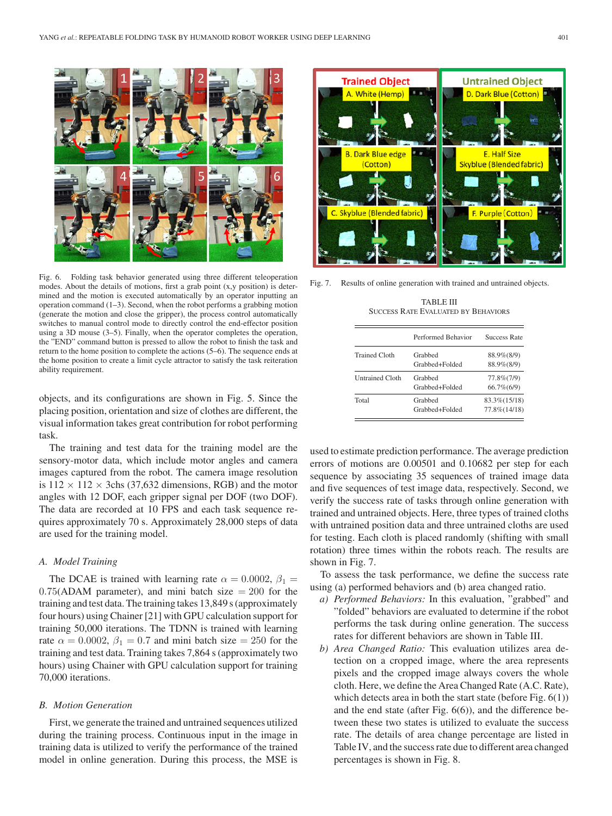

Fig. 6. Folding task behavior generated using three different teleoperation modes. About the details of motions, first a grab point (x,y position) is determined and the motion is executed automatically by an operator inputting an operation command (1–3). Second, when the robot performs a grabbing motion (generate the motion and close the gripper), the process control automatically switches to manual control mode to directly control the end-effector position using a 3D mouse (3–5). Finally, when the operator completes the operation, the "END" command button is pressed to allow the robot to finish the task and return to the home position to complete the actions (5–6). The sequence ends at the home position to create a limit cycle attractor to satisfy the task reiteration ability requirement.

objects, and its configurations are shown in Fig. 5. Since the placing position, orientation and size of clothes are different, the visual information takes great contribution for robot performing task.

The training and test data for the training model are the sensory-motor data, which include motor angles and camera images captured from the robot. The camera image resolution is  $112 \times 112 \times 3$ chs (37,632 dimensions, RGB) and the motor angles with 12 DOF, each gripper signal per DOF (two DOF). The data are recorded at 10 FPS and each task sequence requires approximately 70 s. Approximately 28,000 steps of data are used for the training model.

## *A. Model Training*

The DCAE is trained with learning rate  $\alpha = 0.0002$ ,  $\beta_1 =$  $0.75(ADAM)$  parameter), and mini batch size = 200 for the training and test data. The training takes 13,849 s (approximately four hours) using Chainer [21] with GPU calculation support for training 50,000 iterations. The TDNN is trained with learning rate  $\alpha = 0.0002$ ,  $\beta_1 = 0.7$  and mini batch size = 250 for the training and test data. Training takes 7,864 s (approximately two hours) using Chainer with GPU calculation support for training 70,000 iterations.

#### *B. Motion Generation*

First, we generate the trained and untrained sequences utilized during the training process. Continuous input in the image in training data is utilized to verify the performance of the trained model in online generation. During this process, the MSE is



Fig. 7. Results of online generation with trained and untrained objects.

TABLE III SUCCESS RATE EVALUATED BY BEHAVIORS

|                        | Performed Behavior        | Success Rate                   |
|------------------------|---------------------------|--------------------------------|
| <b>Trained Cloth</b>   | Grabbed<br>Grabbed+Folded | 88.9%(8/9)<br>88.9%(8/9)       |
| <b>Untrained Cloth</b> | Grabbed<br>Grabbed+Folded | 77.8%(7/9)<br>$66.7\%$ $(6/9)$ |
| Total                  | Grabbed<br>Grabbed+Folded | 83.3% (15/18)<br>77.8%(14/18)  |

used to estimate prediction performance. The average prediction errors of motions are 0.00501 and 0.10682 per step for each sequence by associating 35 sequences of trained image data and five sequences of test image data, respectively. Second, we verify the success rate of tasks through online generation with trained and untrained objects. Here, three types of trained cloths with untrained position data and three untrained cloths are used for testing. Each cloth is placed randomly (shifting with small rotation) three times within the robots reach. The results are shown in Fig. 7.

To assess the task performance, we define the success rate using (a) performed behaviors and (b) area changed ratio.

- *a) Performed Behaviors:* In this evaluation, "grabbed" and "folded" behaviors are evaluated to determine if the robot performs the task during online generation. The success rates for different behaviors are shown in Table III.
- *b) Area Changed Ratio:* This evaluation utilizes area detection on a cropped image, where the area represents pixels and the cropped image always covers the whole cloth. Here, we define the Area Changed Rate (A.C. Rate), which detects area in both the start state (before Fig.  $6(1)$ ) and the end state (after Fig. 6(6)), and the difference between these two states is utilized to evaluate the success rate. The details of area change percentage are listed in Table IV, and the success rate due to different area changed percentages is shown in Fig. 8.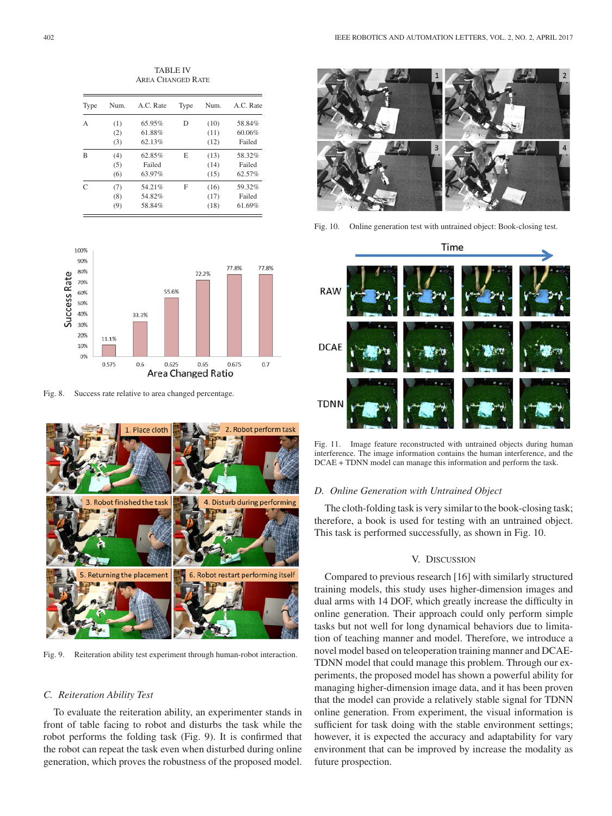| Type | Num. | A.C. Rate | Type | Num. | A.C. Rate |
|------|------|-----------|------|------|-----------|
| А    | (1)  | 65.95%    | D    | (10) | 58.84%    |
|      | (2)  | 61.88%    |      | (11) | 60.06%    |
|      | (3)  | 62.13%    |      | (12) | Failed    |
| B    | (4)  | 62.85%    | E    | (13) | 58.32%    |
|      | (5)  | Failed    |      | (14) | Failed    |
|      | (6)  | 63.97%    |      | (15) | 62.57%    |
| C    | (7)  | 54.21%    | F    | (16) | 59.32%    |
|      | (8)  | 54.82%    |      | (17) | Failed    |
|      | (9)  | 58.84%    |      | (18) | 61.69%    |

TABLE IV AREA CHANGED RATE



Fig. 8. Success rate relative to area changed percentage.



Fig. 9. Reiteration ability test experiment through human-robot interaction.

## *C. Reiteration Ability Test*

To evaluate the reiteration ability, an experimenter stands in front of table facing to robot and disturbs the task while the robot performs the folding task (Fig. 9). It is confirmed that the robot can repeat the task even when disturbed during online generation, which proves the robustness of the proposed model.



Fig. 10. Online generation test with untrained object: Book-closing test.



Fig. 11. Image feature reconstructed with untrained objects during human interference. The image information contains the human interference, and the DCAE + TDNN model can manage this information and perform the task.

## *D. Online Generation with Untrained Object*

The cloth-folding task is very similar to the book-closing task; therefore, a book is used for testing with an untrained object. This task is performed successfully, as shown in Fig. 10.

#### V. DISCUSSION

Compared to previous research [16] with similarly structured training models, this study uses higher-dimension images and dual arms with 14 DOF, which greatly increase the difficulty in online generation. Their approach could only perform simple tasks but not well for long dynamical behaviors due to limitation of teaching manner and model. Therefore, we introduce a novel model based on teleoperation training manner and DCAE-TDNN model that could manage this problem. Through our experiments, the proposed model has shown a powerful ability for managing higher-dimension image data, and it has been proven that the model can provide a relatively stable signal for TDNN online generation. From experiment, the visual information is sufficient for task doing with the stable environment settings; however, it is expected the accuracy and adaptability for vary environment that can be improved by increase the modality as future prospection.